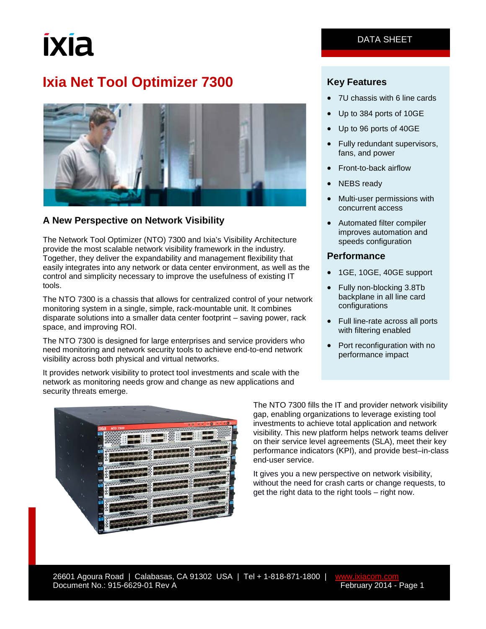# ixia

# **Ixia Net Tool Optimizer 7300**



### **A New Perspective on Network Visibility**

The Network Tool Optimizer (NTO) 7300 and Ixia's Visibility Architecture provide the most scalable network visibility framework in the industry. Together, they deliver the expandability and management flexibility that easily integrates into any network or data center environment, as well as the control and simplicity necessary to improve the usefulness of existing IT tools.

The NTO 7300 is a chassis that allows for centralized control of your network monitoring system in a single, simple, rack-mountable unit. It combines disparate solutions into a smaller data center footprint – saving power, rack space, and improving ROI.

The NTO 7300 is designed for large enterprises and service providers who need monitoring and network security tools to achieve end-to-end network visibility across both physical and virtual networks.

It provides network visibility to protect tool investments and scale with the network as monitoring needs grow and change as new applications and security threats emerge.



### **Key Features**

- 7U chassis with 6 line cards
- Up to 384 ports of 10GE
- Up to 96 ports of 40GE
- Fully redundant supervisors, fans, and power
- Front-to-back airflow
- **NEBS** ready
- Multi-user permissions with concurrent access
- Automated filter compiler improves automation and speeds configuration

### **Performance**

- 1GE, 10GE, 40GE support
- Fully non-blocking 3.8Tb backplane in all line card configurations
- Full line-rate across all ports with filtering enabled
- Port reconfiguration with no performance impact



The NTO 7300 fills the IT and provider network visibility gap, enabling organizations to leverage existing tool investments to achieve total application and network visibility. This new platform helps network teams deliver on their service level agreements (SLA), meet their key performance indicators (KPI), and provide best–in-class end-user service.

It gives you a new perspective on network visibility, without the need for crash carts or change requests, to get the right data to the right tools – right now.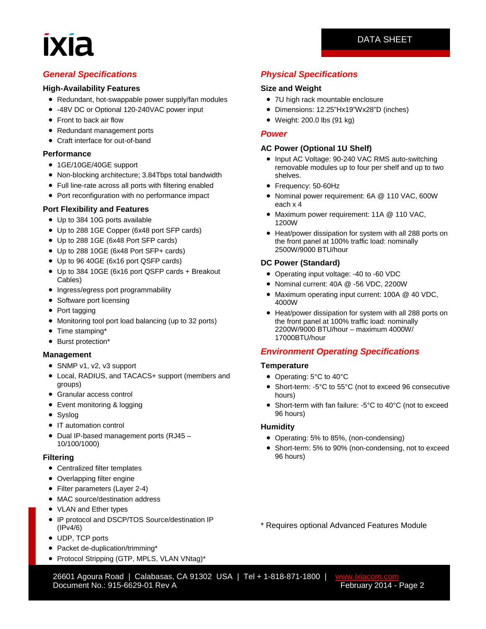### DATA SHEET

### *General Specifications*

### **High-Availability Features**

- Redundant, hot-swappable power supply/fan modules
- -48V DC or Optional 120-240VAC power input
- Front to back air flow
- Redundant management ports
- Craft interface for out-of-band

### **Performance**

- 1GE/10GE/40GE support
- Non-blocking architecture; 3.84Tbps total bandwidth
- Full line-rate across all ports with filtering enabled
- Port reconfiguration with no performance impact

### **Port Flexibility and Features**

- Up to 384 10G ports available
- Up to 288 1GE Copper (6x48 port SFP cards)
- Up to 288 1GE (6x48 Port SFP cards)
- Up to 288 10GE (6x48 Port SFP+ cards)
- Up to 96 40GE (6x16 port QSFP cards)
- Up to 384 10GE (6x16 port QSFP cards + Breakout Cables)
- Ingress/egress port programmability
- Software port licensing
- Port tagging
- Monitoring tool port load balancing (up to 32 ports)
- Time stamping\*
- Burst protection\*

### **Management**

- SNMP v1, v2, v3 support
- Local, RADIUS, and TACACS+ support (members and groups)
- Granular access control
- Event monitoring & logging
- Syslog
- IT automation control
- Dual IP-based management ports (RJ45 10/100/1000)

### **Filtering**

- Centralized filter templates
- Overlapping filter engine
- Filter parameters (Layer 2-4)
- MAC source/destination address
- VLAN and Ether types
- IP protocol and DSCP/TOS Source/destination IP (IPv4/6)
- UDP, TCP ports
- Packet de-duplication/trimming\*
- Protocol Stripping (GTP, MPLS, VLAN VNtag)\*

*Physical Specifications*

### **Size and Weight**

- 7U high rack mountable enclosure
- Dimensions: 12.25"Hx19"Wx28"D (inches)
- Weight: 200.0 lbs (91 kg)

### *Power*

### **AC Power (Optional 1U Shelf)**

- Input AC Voltage: 90-240 VAC RMS auto-switching removable modules up to four per shelf and up to two shelves.
- Frequency: 50-60Hz
- Nominal power requirement: 6A @ 110 VAC, 600W each x 4
- Maximum power requirement: 11A @ 110 VAC, 1200W
- Heat/power dissipation for system with all 288 ports on the front panel at 100% traffic load: nominally 2500W/9000 BTU/hour

### **DC Power (Standard)**

- Operating input voltage: -40 to -60 VDC
- Nominal current: 40A @ -56 VDC, 2200W
- Maximum operating input current: 100A @ 40 VDC, 4000W
- Heat/power dissipation for system with all 288 ports on the front panel at 100% traffic load: nominally 2200W/9000 BTU/hour – maximum 4000W/ 17000BTU/hour

### *Environment Operating Specifications*

### **Temperature**

- Operating: 5°C to 40°C
- Short-term: -5°C to 55°C (not to exceed 96 consecutive hours)
- Short-term with fan failure: -5°C to 40°C (not to exceed 96 hours)

### **Humidity**

- Operating: 5% to 85%, (non-condensing)
- Short-term: 5% to 90% (non-condensing, not to exceed 96 hours)

\* Requires optional Advanced Features Module

26601 Agoura Road | Calabasas, CA 91302 USA | Tel + 1-818-871-1800 | [www.ixiacom.com](http://www.ixiacom.com/)<br>2 Pocument No.: 915-6629-01 Rev A Document No.: 915-6629-01 Rev A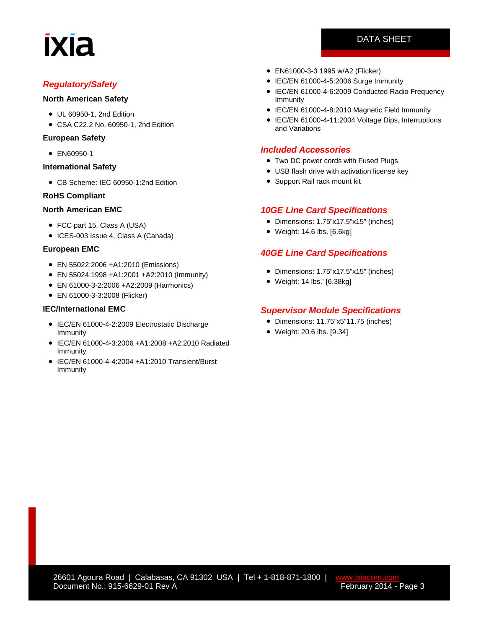# **IXIA**

### *Regulatory/Safety*

### **North American Safety**

- UL 60950-1, 2nd Edition
- CSA C22.2 No. 60950-1, 2nd Edition

### **European Safety**

• EN60950-1

### **International Safety**

• CB Scheme: IEC 60950-1:2nd Edition

### **RoHS Compliant**

### **North American EMC**

- FCC part 15, Class A (USA)
- ICES-003 Issue 4, Class A (Canada)

### **European EMC**

- EN 55022:2006 +A1:2010 (Emissions)
- EN 55024:1998 +A1:2001 +A2:2010 (Immunity)
- EN 61000-3-2:2006 +A2:2009 (Harmonics)
- EN 61000-3-3:2008 (Flicker)

### **IEC/International EMC**

- IEC/EN 61000-4-2:2009 Electrostatic Discharge Immunity
- IEC/EN 61000-4-3:2006 +A1:2008 +A2:2010 Radiated Immunity
- IEC/EN 61000-4-4:2004 +A1:2010 Transient/Burst Immunity
- EN61000-3-3 1995 w/A2 (Flicker)
- IEC/EN 61000-4-5:2006 Surge Immunity
- IEC/EN 61000-4-6:2009 Conducted Radio Frequency Immunity
- IEC/EN 61000-4-8:2010 Magnetic Field Immunity
- IEC/EN 61000-4-11:2004 Voltage Dips, Interruptions and Variations

### *Included Accessories*

- Two DC power cords with Fused Plugs
- USB flash drive with activation license key
- Support Rail rack mount kit

### *10GE Line Card Specifications*

- Dimensions: 1.75"x17.5"x15" (inches)
- Weight: 14.6 lbs. [6.6kg]

### *40GE Line Card Specifications*

- Dimensions: 1.75"x17.5"x15" (inches)
- Weight: 14 lbs.' [6.38kg]

### *Supervisor Module Specifications*

- Dimensions: 11.75"x5"11.75 (inches)
- Weight: 20.6 lbs. [9.34]

### DATA SHEET